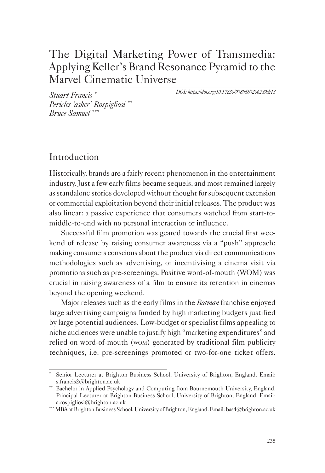# The Digital Marketing Power of Transmedia: Applying Keller's Brand Resonance Pyramid to the Marvel Cinematic Universe

*DOI: https://doi.org/10.17230/9789587206289ch13*

*Stuart Francis* \* *Pericles 'asher' Rospigliosi* \*\* *Bruce Samuel* \*\*\*

# Introduction

Historically, brands are a fairly recent phenomenon in the entertainment industry. Just a few early films became sequels, and most remained largely as standalone stories developed without thought for subsequent extension or commercial exploitation beyond their initial releases. The product was also linear: a passive experience that consumers watched from start-tomiddle-to-end with no personal interaction or influence.

Successful film promotion was geared towards the crucial first weekend of release by raising consumer awareness via a "push" approach: making consumers conscious about the product via direct communications methodologies such as advertising, or incentivising a cinema visit via promotions such as pre-screenings. Positive word-of-mouth (WOM) was crucial in raising awareness of a film to ensure its retention in cinemas beyond the opening weekend.

Major releases such as the early films in the *Batman* franchise enjoyed large advertising campaigns funded by high marketing budgets justified by large potential audiences. Low-budget or specialist films appealing to niche audiences were unable to justify high "marketing expenditures" and relied on word-of-mouth (wom) generated by traditional film publicity techniques, i.e. pre-screenings promoted or two-for-one ticket offers.

Senior Lecturer at Brighton Business School, University of Brighton, England. Email: s.francis2@brighton.ac.uk

<sup>\*\*</sup> Bachelor in Applied Psychology and Computing from Bournemouth University, England. Principal Lecturer at Brighton Business School, University of Brighton, England. Email: a.rospigliosi@brighton.ac.uk<br>\*\*\* MBA at Brighton Business School, University of Brighton, England. Email: bas4@brighton.ac.uk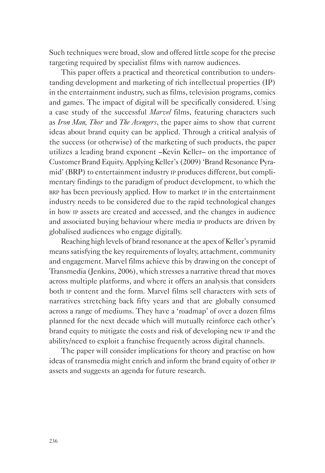Such techniques were broad, slow and offered little scope for the precise targeting required by specialist films with narrow audiences.

This paper offers a practical and theoretical contribution to understanding development and marketing of rich intellectual properties (IP) in the entertainment industry, such as films, television programs, comics and games. The impact of digital will be specifically considered. Using a case study of the successful *Marvel* films, featuring characters such as *Iron Man, Thor* and *The Avengers*, the paper aims to show that current ideas about brand equity can be applied. Through a critical analysis of the success (or otherwise) of the marketing of such products, the paper utilizes a leading brand exponent –Kevin Keller– on the importance of Customer Brand Equity. Applying Keller's (2009) 'Brand Resonance Pyramid' (BRP) to entertainment industry ip produces different, but complimentary findings to the paradigm of product development, to which the brp has been previously applied. How to market ip in the entertainment industry needs to be considered due to the rapid technological changes in how ip assets are created and accessed, and the changes in audience and associated buying behaviour where media ip products are driven by globalised audiences who engage digitally.

Reaching high levels of brand resonance at the apex of Keller's pyramid means satisfying the key requirements of loyalty, attachment, community and engagement. Marvel films achieve this by drawing on the concept of Transmedia (Jenkins, 2006), which stresses a narrative thread that moves across multiple platforms, and where it offers an analysis that considers both ip content and the form. Marvel films sell characters with sets of narratives stretching back fifty years and that are globally consumed across a range of mediums. They have a 'roadmap' of over a dozen films planned for the next decade which will mutually reinforce each other's brand equity to mitigate the costs and risk of developing new ip and the ability/need to exploit a franchise frequently across digital channels.

The paper will consider implications for theory and practise on how ideas of transmedia might enrich and inform the brand equity of other ip assets and suggests an agenda for future research.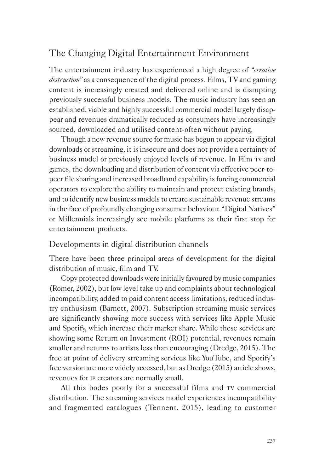# The Changing Digital Entertainment Environment

The entertainment industry has experienced a high degree of *"creative destruction"* as a consequence of the digital process*.* Films, TV and gaming content is increasingly created and delivered online and is disrupting previously successful business models. The music industry has seen an established, viable and highly successful commercial model largely disappear and revenues dramatically reduced as consumers have increasingly sourced, downloaded and utilised content-often without paying.

Though a new revenue source for music has begun to appear via digital downloads or streaming, it is insecure and does not provide a certainty of business model or previously enjoyed levels of revenue. In Film tv and games, the downloading and distribution of content via effective peer-topeer file sharing and increased broadband capability is forcing commercial operators to explore the ability to maintain and protect existing brands, and to identify new business models to create sustainable revenue streams in the face of profoundly changing consumer behaviour. "Digital Natives" or Millennials increasingly see mobile platforms as their first stop for entertainment products.

## Developments in digital distribution channels

There have been three principal areas of development for the digital distribution of music, film and TV.

Copy protected downloads were initially favoured by music companies (Romer, 2002), but low level take up and complaints about technological incompatibility, added to paid content access limitations, reduced industry enthusiasm (Barnett, 2007). Subscription streaming music services are significantly showing more success with services like Apple Music and Spotify, which increase their market share. While these services are showing some Return on Investment (ROI) potential, revenues remain smaller and returns to artists less than encouraging (Dredge, 2015). The free at point of delivery streaming services like YouTube, and Spotify's free version are more widely accessed, but as Dredge (2015) article shows, revenues for ip creators are normally small.

All this bodes poorly for a successful films and TV commercial distribution. The streaming services model experiences incompatibility and fragmented catalogues (Tennent, 2015), leading to customer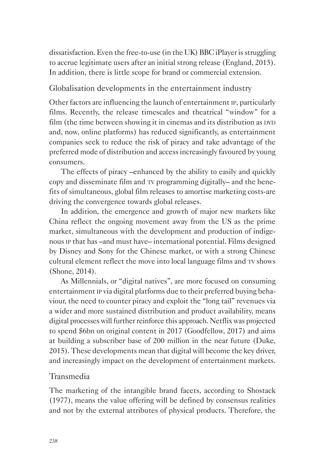dissatisfaction. Even the free-to-use (in the UK) BBC iPlayer is struggling to accrue legitimate users after an initial strong release (England, 2015). In addition, there is little scope for brand or commercial extension.

## Globalisation developments in the entertainment industry

Other factors are influencing the launch of entertainment ip, particularly films. Recently, the release timescales and theatrical "window" for a film (the time between showing it in cinemas and its distribution as DVD and, now, online platforms) has reduced significantly, as entertainment companies seek to reduce the risk of piracy and take advantage of the preferred mode of distribution and access increasingly favoured by young consumers.

The effects of piracy –enhanced by the ability to easily and quickly copy and disseminate film and tv programming digitally– and the benefits of simultaneous, global film releases to amortise marketing costs-are driving the convergence towards global releases.

In addition, the emergence and growth of major new markets like China reflect the ongoing movement away from the US as the prime market, simultaneous with the development and production of indigenous ip that has –and must have– international potential. Films designed by Disney and Sony for the Chinese market, or with a strong Chinese cultural element reflect the move into local language films and tv shows (Shone, 2014).

As Millennials, or "digital natives", are more focused on consuming entertainment ip via digital platforms due to their preferred buying behaviour, the need to counter piracy and exploit the "long tail" revenues via a wider and more sustained distribution and product availability, means digital processes will further reinforce this approach. Netflix was projected to spend \$6bn on original content in 2017 (Goodfellow, 2017) and aims at building a subscriber base of 200 million in the near future (Duke, 2015). These developments mean that digital will become the key driver, and increasingly impact on the development of entertainment markets.

## Transmedia

The marketing of the intangible brand facets, according to Shostack (1977), means the value offering will be defined by consensus realities and not by the external attributes of physical products. Therefore, the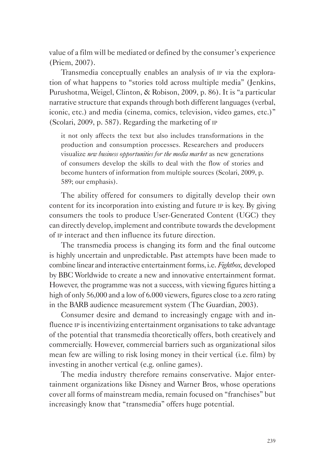value of a film will be mediated or defined by the consumer's experience (Priem, 2007).

Transmedia conceptually enables an analysis of ip via the exploration of what happens to "stories told across multiple media" (Jenkins, Purushotma, Weigel, Clinton, & Robison, 2009, p. 86). It is "a particular narrative structure that expands through both different languages (verbal, iconic, etc.) and media (cinema, comics, television, video games, etc.)" (Scolari, 2009, p. 587). Regarding the marketing of ip

it not only affects the text but also includes transformations in the production and consumption processes. Researchers and producers visualize *new business opportunities for the media market* as new generations of consumers develop the skills to deal with the flow of stories and become hunters of information from multiple sources (Scolari, 2009, p. 589; our emphasis).

The ability offered for consumers to digitally develop their own content for its incorporation into existing and future ip is key. By giving consumers the tools to produce User-Generated Content (UGC) they can directly develop, implement and contribute towards the development of ip interact and then influence its future direction.

The transmedia process is changing its form and the final outcome is highly uncertain and unpredictable. Past attempts have been made to combine linear and interactive entertainment forms, i.e. *Fightbox,* developed by BBC Worldwide to create a new and innovative entertainment format. However, the programme was not a success, with viewing figures hitting a high of only 56,000 and a low of 6.000 viewers, figures close to a zero rating in the BARB audience measurement system (The Guardian, 2003).

Consumer desire and demand to increasingly engage with and influence ip is incentivizing entertainment organisations to take advantage of the potential that transmedia theoretically offers, both creatively and commercially. However, commercial barriers such as organizational silos mean few are willing to risk losing money in their vertical (i.e. film) by investing in another vertical (e.g. online games).

The media industry therefore remains conservative. Major entertainment organizations like Disney and Warner Bros, whose operations cover all forms of mainstream media, remain focused on "franchises" but increasingly know that "transmedia" offers huge potential.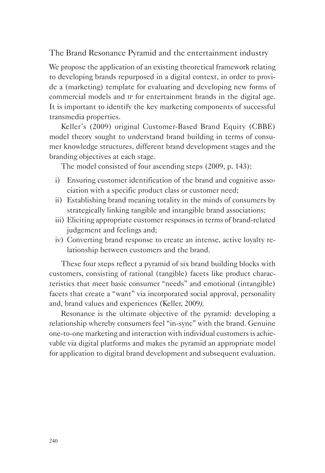The Brand Resonance Pyramid and the entertainment industry

We propose the application of an existing theoretical framework relating to developing brands repurposed in a digital context, in order to provide a (marketing) template for evaluating and developing new forms of commercial models and ip for entertainment brands in the digital age. It is important to identify the key marketing components of successful transmedia properties.

Keller's (2009) original Customer-Based Brand Equity (CBBE) model theory sought to understand brand building in terms of consumer knowledge structures, different brand development stages and the branding objectives at each stage.

The model consisted of four ascending steps (2009, p. 143):

- i) Ensuring customer identification of the brand and cognitive association with a specific product class or customer need;
- ii) Establishing brand meaning totality in the minds of consumers by strategically linking tangible and intangible brand associations;
- iii) Eliciting appropriate customer responses in terms of brand-related judgement and feelings and;
- iv) Converting brand response to create an intense, active loyalty relationship between customers and the brand.

These four steps reflect a pyramid of six brand building blocks with customers, consisting of rational (tangible) facets like product characteristics that meet basic consumer "needs" and emotional (intangible) facets that create a "want" via incorporated social approval, personality and, brand values and experiences (Keller, 2009*).*

Resonance is the ultimate objective of the pyramid: developing a relationship whereby consumers feel "in-sync" with the brand. Genuine one-to-one marketing and interaction with individual customers is achievable via digital platforms and makes the pyramid an appropriate model for application to digital brand development and subsequent evaluation.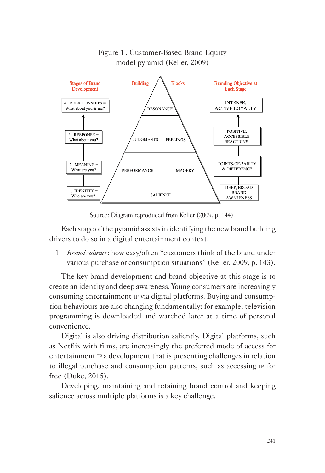

## Figure 1 . Customer-Based Brand Equity model pyramid (Keller, 2009)

Source: Diagram reproduced from Keller (2009, p. 144).

Each stage of the pyramid assists in identifying the new brand building drivers to do so in a digital entertainment context.

1 *Brand salience*: how easy/often "customers think of the brand under various purchase or consumption situations" (Keller, 2009, p. 143).

The key brand development and brand objective at this stage is to create an identity and deep awareness. Young consumers are increasingly consuming entertainment ip via digital platforms. Buying and consumption behaviours are also changing fundamentally: for example, television programming is downloaded and watched later at a time of personal convenience.

Digital is also driving distribution saliently. Digital platforms, such as Netflix with films, are increasingly the preferred mode of access for entertainment ip a development that is presenting challenges in relation to illegal purchase and consumption patterns, such as accessing ip for free (Duke, 2015).

Developing, maintaining and retaining brand control and keeping salience across multiple platforms is a key challenge.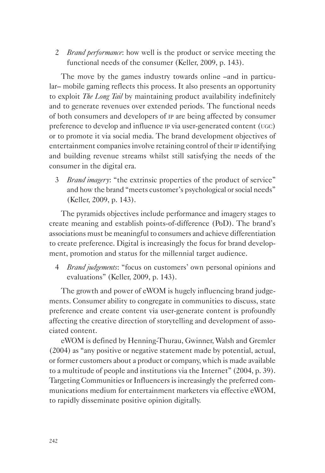2 *Brand performance*: how well is the product or service meeting the functional needs of the consumer (Keller, 2009, p. 143).

The move by the games industry towards online –and in particular– mobile gaming reflects this process. It also presents an opportunity to exploit *The Long Tail* by maintaining product availability indefinitely and to generate revenues over extended periods. The functional needs of both consumers and developers of ip are being affected by consumer preference to develop and influence ip via user-generated content (ugc) or to promote it via social media. The brand development objectives of entertainment companies involve retaining control of their ip identifying and building revenue streams whilst still satisfying the needs of the consumer in the digital era.

3 *Brand imagery*: "the extrinsic properties of the product of service" and how the brand "meets customer's psychological or social needs" (Keller, 2009, p. 143).

The pyramids objectives include performance and imagery stages to create meaning and establish points-of-difference (PoD). The brand's associations must be meaningful to consumers and achieve differentiation to create preference. Digital is increasingly the focus for brand development, promotion and status for the millennial target audience.

4 *Brand judgements*: "focus on customers' own personal opinions and evaluations" (Keller, 2009, p. 143).

The growth and power of eWOM is hugely influencing brand judgements. Consumer ability to congregate in communities to discuss, state preference and create content via user-generate content is profoundly affecting the creative direction of storytelling and development of associated content.

eWOM is defined by Henning-Thurau, Gwinner, Walsh and Gremler (2004) as "any positive or negative statement made by potential, actual, or former customers about a product or company, which is made available to a multitude of people and institutions via the Internet" (2004, p. 39). Targeting Communities or Influencers is increasingly the preferred communications medium for entertainment marketers via effective eWOM, to rapidly disseminate positive opinion digitally.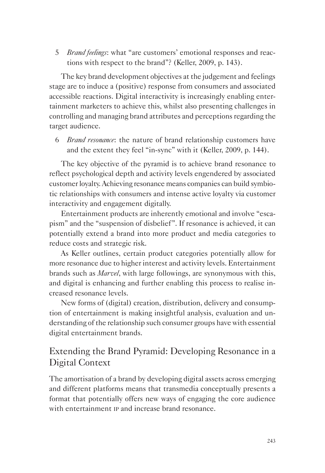5 *Brand feelings*: what "are customers' emotional responses and reactions with respect to the brand"? (Keller, 2009, p. 143).

The key brand development objectives at the judgement and feelings stage are to induce a (positive) response from consumers and associated accessible reactions. Digital interactivity is increasingly enabling entertainment marketers to achieve this, whilst also presenting challenges in controlling and managing brand attributes and perceptions regarding the target audience.

6 *Brand resonance*: the nature of brand relationship customers have and the extent they feel "in-sync" with it (Keller, 2009, p. 144).

The key objective of the pyramid is to achieve brand resonance to reflect psychological depth and activity levels engendered by associated customer loyalty. Achieving resonance means companies can build symbiotic relationships with consumers and intense active loyalty via customer interactivity and engagement digitally.

Entertainment products are inherently emotional and involve "escapism" and the "suspension of disbelief". If resonance is achieved, it can potentially extend a brand into more product and media categories to reduce costs and strategic risk.

As Keller outlines, certain product categories potentially allow for more resonance due to higher interest and activity levels. Entertainment brands such as *Marvel*, with large followings, are synonymous with this, and digital is enhancing and further enabling this process to realise increased resonance levels.

New forms of (digital) creation, distribution, delivery and consumption of entertainment is making insightful analysis, evaluation and understanding of the relationship such consumer groups have with essential digital entertainment brands.

# Extending the Brand Pyramid: Developing Resonance in a Digital Context

The amortisation of a brand by developing digital assets across emerging and different platforms means that transmedia conceptually presents a format that potentially offers new ways of engaging the core audience with entertainment ip and increase brand resonance.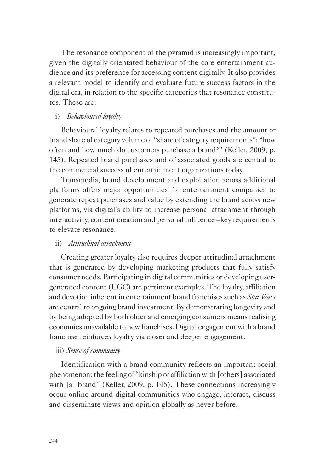The resonance component of the pyramid is increasingly important, given the digitally orientated behaviour of the core entertainment audience and its preference for accessing content digitally. It also provides a relevant model to identify and evaluate future success factors in the digital era, in relation to the specific categories that resonance constitutes. These are:

## i) *Behavioural loyalty*

Behavioural loyalty relates to repeated purchases and the amount or brand share of category volume or "share of category requirements": "how often and how much do customers purchase a brand?" (Keller, 2009, p. 145). Repeated brand purchases and of associated goods are central to the commercial success of entertainment organizations today.

Transmedia, brand development and exploitation across additional platforms offers major opportunities for entertainment companies to generate repeat purchases and value by extending the brand across new platforms, via digital's ability to increase personal attachment through interactivity, content creation and personal influence –key requirements to elevate resonance.

### ii) *Attitudinal attachment*

Creating greater loyalty also requires deeper attitudinal attachment that is generated by developing marketing products that fully satisfy consumer needs. Participating in digital communities or developing usergenerated content (UGC) are pertinent examples. The loyalty, affiliation and devotion inherent in entertainment brand franchises such as *Star Wars* are central to ongoing brand investment. By demonstrating longevity and by being adopted by both older and emerging consumers means realising economies unavailable to new franchises. Digital engagement with a brand franchise reinforces loyalty via closer and deeper engagement.

### iii) *Sense of community*

Identification with a brand community reflects an important social phenomenon: the feeling of "kinship or affiliation with [others] associated with [a] brand" (Keller, 2009, p. 145). These connections increasingly occur online around digital communities who engage, interact, discuss and disseminate views and opinion globally as never before.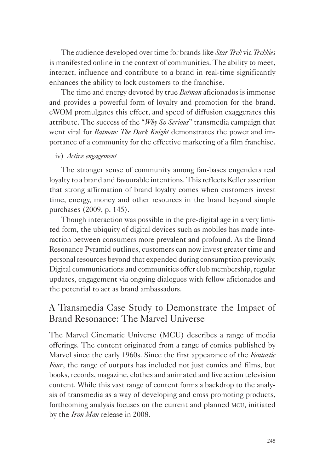The audience developed over time for brands like *Star Trek* via *Trekkies* is manifested online in the context of communities. The ability to meet, interact, influence and contribute to a brand in real-time significantly enhances the ability to lock customers to the franchise.

The time and energy devoted by true *Batman* aficionados is immense and provides a powerful form of loyalty and promotion for the brand. eWOM promulgates this effect, and speed of diffusion exaggerates this attribute. The success of the "*Why So Serious*" transmedia campaign that went viral for *Batman: The Dark Knight* demonstrates the power and importance of a community for the effective marketing of a film franchise.

## iv) *Active engagement*

The stronger sense of community among fan-bases engenders real loyalty to a brand and favourable intentions. This reflects Keller assertion that strong affirmation of brand loyalty comes when customers invest time, energy, money and other resources in the brand beyond simple purchases (2009, p. 145).

Though interaction was possible in the pre-digital age in a very limited form, the ubiquity of digital devices such as mobiles has made interaction between consumers more prevalent and profound. As the Brand Resonance Pyramid outlines, customers can now invest greater time and personal resources beyond that expended during consumption previously. Digital communications and communities offer club membership, regular updates, engagement via ongoing dialogues with fellow aficionados and the potential to act as brand ambassadors.

# A Transmedia Case Study to Demonstrate the Impact of Brand Resonance: The Marvel Universe

The Marvel Cinematic Universe (MCU) describes a range of media offerings. The content originated from a range of comics published by Marvel since the early 1960s. Since the first appearance of the *Fantastic Four*, the range of outputs has included not just comics and films, but books, records, magazine, clothes and animated and live action television content. While this vast range of content forms a backdrop to the analysis of transmedia as a way of developing and cross promoting products, forthcoming analysis focuses on the current and planned mcu, initiated by the *Iron Man* release in 2008.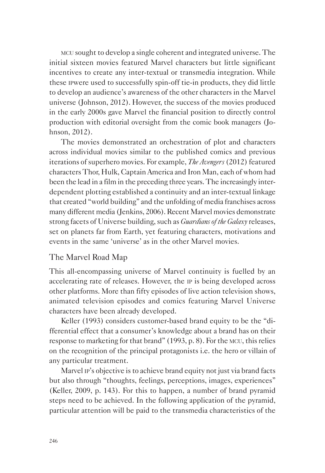mcu sought to develop a single coherent and integrated universe. The initial sixteen movies featured Marvel characters but little significant incentives to create any inter-textual or transmedia integration. While these ipwere used to successfully spin-off tie-in products, they did little to develop an audience's awareness of the other characters in the Marvel universe (Johnson, 2012). However, the success of the movies produced in the early 2000s gave Marvel the financial position to directly control production with editorial oversight from the comic book managers (Johnson, 2012).

The movies demonstrated an orchestration of plot and characters across individual movies similar to the published comics and previous iterations of superhero movies. For example, *The Avengers* (2012) featured characters Thor, Hulk, Captain America and Iron Man, each of whom had been the lead in a film in the preceding three years. The increasingly interdependent plotting established a continuity and an inter-textual linkage that created "world building" and the unfolding of media franchises across many different media (Jenkins, 2006). Recent Marvel movies demonstrate strong facets of Universe building, such as *Guardians of the Galaxy* releases, set on planets far from Earth, yet featuring characters, motivations and events in the same 'universe' as in the other Marvel movies.

## The Marvel Road Map

This all-encompassing universe of Marvel continuity is fuelled by an accelerating rate of releases. However, the ip is being developed across other platforms. More than fifty episodes of live action television shows, animated television episodes and comics featuring Marvel Universe characters have been already developed.

Keller (1993) considers customer-based brand equity to be the "differential effect that a consumer's knowledge about a brand has on their response to marketing for that brand" (1993, p. 8). For the mcu, this relies on the recognition of the principal protagonists i.e. the hero or villain of any particular treatment.

Marvel ip's objective is to achieve brand equity not just via brand facts but also through "thoughts, feelings, perceptions, images, experiences" (Keller, 2009, p. 143). For this to happen, a number of brand pyramid steps need to be achieved. In the following application of the pyramid, particular attention will be paid to the transmedia characteristics of the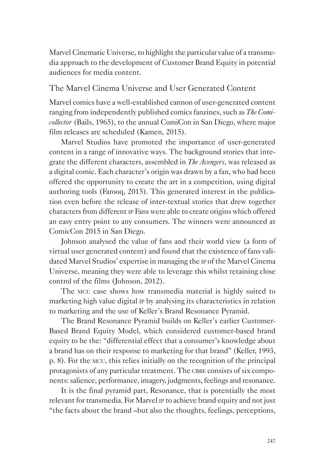Marvel Cinematic Universe, to highlight the particular value of a transmedia approach to the development of Customer Brand Equity in potential audiences for media content.

## The Marvel Cinema Universe and User Generated Content

Marvel comics have a well-established cannon of user-generated content ranging from independently published comics fanzines, such as *The Comicollector* (Bails, 1965), to the annual ComiCon in San Diego, where major film releases are scheduled (Kamen, 2015).

Marvel Studios have promoted the importance of user-generated content in a range of innovative ways. The background stories that integrate the different characters, assembled in *The Avengers*, was released as a digital comic. Each character's origin was drawn by a fan, who had been offered the opportunity to create the art in a competition, using digital authoring tools (Farooq, 2015). This generated interest in the publication even before the release of inter-textual stories that drew together characters from different ip Fans were able to create origins which offered an easy entry point to any consumers. The winners were announced at ComicCon 2015 in San Diego.

Johnson analysed the value of fans and their world view (a form of virtual user generated content) and found that the existence of fans validated Marvel Studios' expertise in managing the ip of the Marvel Cinema Universe, meaning they were able to leverage this whilst retaining close control of the films (Johnson, 2012).

The mcu case shows how transmedia material is highly suited to marketing high value digital ip by analysing its characteristics in relation to marketing and the use of Keller's Brand Resonance Pyramid.

The Brand Resonance Pyramid builds on Keller's earlier Customer-Based Brand Equity Model, which considered customer-based brand equity to be the: "differential effect that a consumer's knowledge about a brand has on their response to marketing for that brand" (Keller, 1993, p. 8). For the mcu, this relies initially on the recognition of the principal protagonists of any particular treatment. The CBBE consists of six components: salience, performance, imagery, judgments, feelings and resonance.

It is the final pyramid part, Resonance, that is potentially the most relevant for transmedia. For Marvel ip to achieve brand equity and not just "the facts about the brand –but also the thoughts, feelings, perceptions,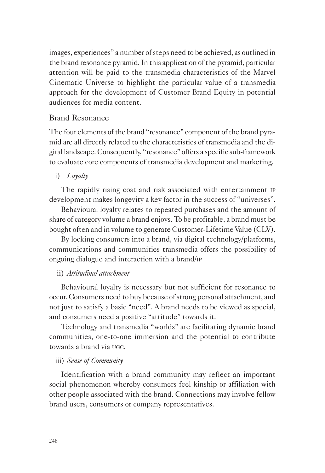images, experiences" a number of steps need to be achieved, as outlined in the brand resonance pyramid. In this application of the pyramid, particular attention will be paid to the transmedia characteristics of the Marvel Cinematic Universe to highlight the particular value of a transmedia approach for the development of Customer Brand Equity in potential audiences for media content.

## Brand Resonance

The four elements of the brand "resonance" component of the brand pyramid are all directly related to the characteristics of transmedia and the digital landscape. Consequently, "resonance" offers a specific sub-framework to evaluate core components of transmedia development and marketing.

i) *Loyalty*

The rapidly rising cost and risk associated with entertainment ip development makes longevity a key factor in the success of "universes".

Behavioural loyalty relates to repeated purchases and the amount of share of category volume a brand enjoys. To be profitable, a brand must be bought often and in volume to generate Customer-Lifetime Value (CLV).

By locking consumers into a brand, via digital technology/platforms, communications and communities transmedia offers the possibility of ongoing dialogue and interaction with a brand/ip

## ii) *Attitudinal attachment*

Behavioural loyalty is necessary but not sufficient for resonance to occur. Consumers need to buy because of strong personal attachment, and not just to satisfy a basic "need". A brand needs to be viewed as special, and consumers need a positive "attitude" towards it.

Technology and transmedia "worlds" are facilitating dynamic brand communities, one-to-one immersion and the potential to contribute towards a brand via ugc.

## iii) *Sense of Community*

Identification with a brand community may reflect an important social phenomenon whereby consumers feel kinship or affiliation with other people associated with the brand. Connections may involve fellow brand users, consumers or company representatives.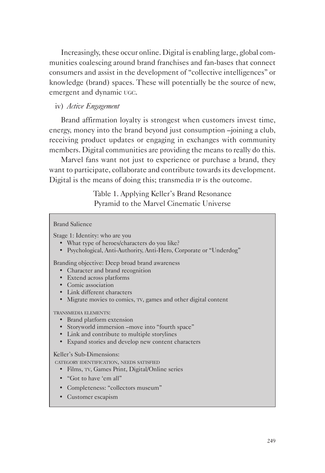Increasingly, these occur online. Digital is enabling large, global communities coalescing around brand franchises and fan-bases that connect consumers and assist in the development of "collective intelligences" or knowledge (brand) spaces. These will potentially be the source of new, emergent and dynamic ugc.

## iv) *Active Engagement*

Brand affirmation loyalty is strongest when customers invest time, energy, money into the brand beyond just consumption –joining a club, receiving product updates or engaging in exchanges with community members. Digital communities are providing the means to really do this.

Marvel fans want not just to experience or purchase a brand, they want to participate, collaborate and contribute towards its development. Digital is the means of doing this; transmedia ip is the outcome.

Table 1. Applying Keller's Brand Resonance

| Pyramid to the Marvel Cinematic Universe                                                                                                                                                                                                             |
|------------------------------------------------------------------------------------------------------------------------------------------------------------------------------------------------------------------------------------------------------|
| <b>Brand Salience</b>                                                                                                                                                                                                                                |
| Stage 1: Identity: who are you<br>• What type of heroes/characters do you like?<br>• Psychological, Anti-Authority, Anti-Hero, Corporate or "Underdog"                                                                                               |
| Branding objective: Deep broad brand awareness<br>Character and brand recognition<br>$\bullet$<br>• Extend across platforms<br>• Comic association<br>• Link different characters<br>• Migrate movies to comics, TV, games and other digital content |
| <b>TRANSMEDIA ELEMENTS:</b><br>• Brand platform extension<br>• Storyworld immersion -move into "fourth space"<br>• Link and contribute to multiple storylines<br>Expand stories and develop new content characters<br>$\bullet$                      |
| Keller's Sub-Dimensions:<br>CATEGORY IDENTIFICATION, NEEDS SATISFIED<br>Films, TV, Games Print, Digital/Online series<br>$\bullet$<br>• "Got to have 'em all"<br>Completeness: "collectors museum"                                                   |
| Customer escapism                                                                                                                                                                                                                                    |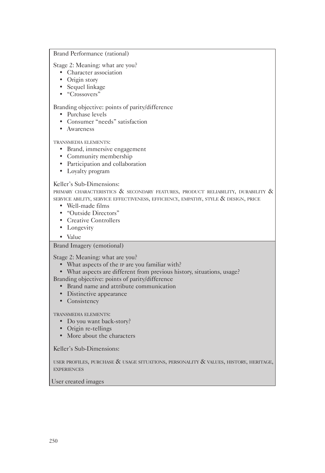#### Brand Performance (rational)

Stage 2: Meaning: what are you?

- Character association
- Origin story
- Sequel linkage
- "Crossovers"

### Branding objective: points of parity/difference

- Purchase levels
- Consumer "needs" satisfaction
- Awareness

### transmedia elements:

- Brand, immersive engagement
- Community membership
- Participation and collaboration
- Loyalty program

### Keller's Sub-Dimensions:

PRIMARY CHARACTERISTICS  $\&$  secondary features, product reliability, durability  $\&$ service ability, service effectiveness, efficiency, empathy, style & design, price

- Well-made films
- "Outside Directors"
- Creative Controllers
- Longevity
- Value

### Brand Imagery (emotional)

Stage 2: Meaning: what are you?

- What aspects of the ip are you familiar with?
- What aspects are different from previous history, situations, usage?

Branding objective: points of parity/difference

- Brand name and attribute communication
- Distinctive appearance
- Consistency

transmedia elements:

- Do you want back-story?
- Origin re-tellings
- More about the characters

Keller's Sub-Dimensions:

user profiles, purchase & usage situations, personality & values, history, heritage, **EXPERIENCES** 

#### User created images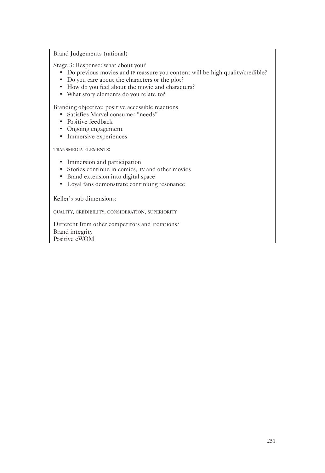Brand Judgements (rational)

Stage 3: Response: what about you?

- Do previous movies and ip reassure you content will be high quality/credible?
- Do you care about the characters or the plot?
- How do you feel about the movie and characters?
- What story elements do you relate to?

Branding objective: positive accessible reactions

- Satisfies Marvel consumer "needs"
- Positive feedback
- Ongoing engagement
- Immersive experiences

transmedia elements:

- Immersion and participation
- Stories continue in comics,  $TV$  and other movies
- Brand extension into digital space
- Loyal fans demonstrate continuing resonance

Keller's sub dimensions:

quality, credibility, consideration, superiority

Different from other competitors and iterations? Brand integrity Positive eWOM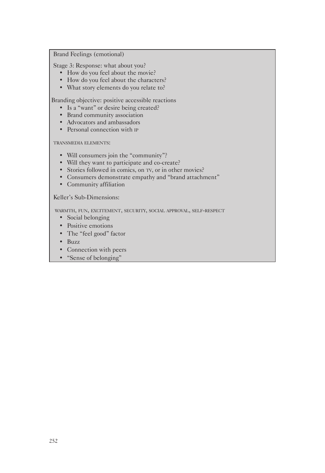#### Brand Feelings (emotional)

Stage 3: Response: what about you?

- How do you feel about the movie?
- How do you feel about the characters?
- What story elements do you relate to?

Branding objective: positive accessible reactions

- Is a "want" or desire being created?
- Brand community association
- Advocators and ambassadors
- Personal connection with **IP**

transmedia elements:

- Will consumers join the "community"?
- Will they want to participate and co-create?
- Stories followed in comics, on TV, or in other movies?
- Consumers demonstrate empathy and "brand attachment"
- Community affiliation

Keller's Sub-Dimensions:

warmth, fun, excitement, security, social approval, self-respect

- Social belonging
- Positive emotions
- The "feel good" factor
- Buzz
- Connection with peers
- "Sense of belonging"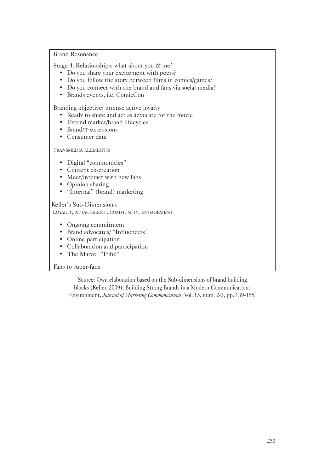Brand Resonance

Stage 4: Relationships: what about you & me?

- Do you share your excitement with peers?
- Do you follow the story between films in comics/games?
- Do you connect with the brand and fans via social media?
- Brands events, i.e. ComicCon

Branding objective: intense active loyalty

- Ready to share and act as advocate for the movie
- Extend market/brand lifecycles
- Brand/ip extensions
- Consumer data

transmedia elements:

- Digital "communities"
- Content co-creation
- Meet/interact with new fans
- Opinion sharing
- "Internal" (brand) marketing

Keller's Sub-Dimensions: loyalty, attachment, community, engagement

- Ongoing commitment
- Brand advocates/ "Influencers"
- Online participation
- Collaboration and participation
- The Marvel "Tribe"

### Fans to super-fans

Source: Own elaboration based on the Sub-dimensions of brand building blocks (Keller, 2009), Building Strong Brands in a Modern Communications Environment, *Journal of Marketing Communications*, Vol. 15, num. 2-3, pp. 139-155.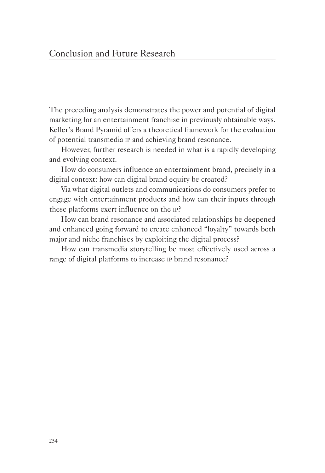The preceding analysis demonstrates the power and potential of digital marketing for an entertainment franchise in previously obtainable ways. Keller's Brand Pyramid offers a theoretical framework for the evaluation of potential transmedia ip and achieving brand resonance.

However, further research is needed in what is a rapidly developing and evolving context.

How do consumers influence an entertainment brand, precisely in a digital context: how can digital brand equity be created?

Via what digital outlets and communications do consumers prefer to engage with entertainment products and how can their inputs through these platforms exert influence on the ip?

How can brand resonance and associated relationships be deepened and enhanced going forward to create enhanced "loyalty" towards both major and niche franchises by exploiting the digital process?

How can transmedia storytelling be most effectively used across a range of digital platforms to increase ip brand resonance?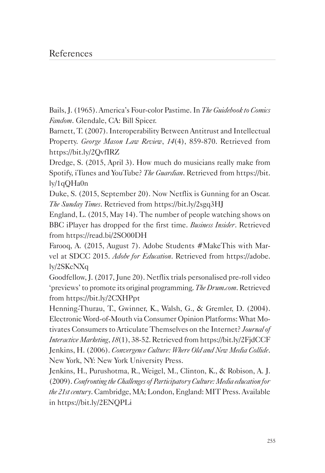# References

Bails, J. (1965). America's Four-color Pastime. In *The Guidebook to Comics Fandom*. Glendale, CA: Bill Spicer.

Barnett, T. (2007). Interoperability Between Antitrust and Intellectual Property. *George Mason Law Review*, *14*(4), 859-870. Retrieved from https://bit.ly/2QvfIRZ

Dredge, S. (2015, April 3). How much do musicians really make from Spotify, iTunes and YouTube? *The Guardian*. Retrieved from https://bit. ly/1qQHa0n

Duke, S. (2015, September 20). Now Netflix is Gunning for an Oscar*. The Sunday Times*. Retrieved from https://bit.ly/2sgq3HJ

England, L. (2015, May 14). The number of people watching shows on BBC iPlayer has dropped for the first time. *Business Insider*. Retrieved from https://read.bi/2SO00DH

Farooq, A. (2015, August 7). Adobe Students #MakeThis with Marvel at SDCC 2015. *Adobe for Education*. Retrieved from https://adobe. ly/2SKcNXq

Goodfellow, J. (2017, June 20). Netflix trials personalised pre-roll video 'previews' to promote its original programming. *The Drum.com*. Retrieved from https://bit.ly/2CXHPpt

Henning-Thurau, T., Gwinner, K., Walsh, G., & Gremler, D. (2004). Electronic Word-of-Mouth via Consumer Opinion Platforms: What Motivates Consumers to Articulate Themselves on the Internet? *Journal of Interactive Marketing*, *18*(1), 38-52. Retrieved from https://bit.ly/2FjdCCF Jenkins, H. (2006). *Convergence Culture: Where Old and New Media Collide*. New York, NY: New York University Press.

Jenkins, H., Purushotma, R., Weigel, M., Clinton, K., & Robison, A. J. (2009). *Confronting the Challenges of Participatory Culture: Media education for the 21st century*. Cambridge, MA; London, England: MIT Press. Available in https://bit.ly/2ENQPLi